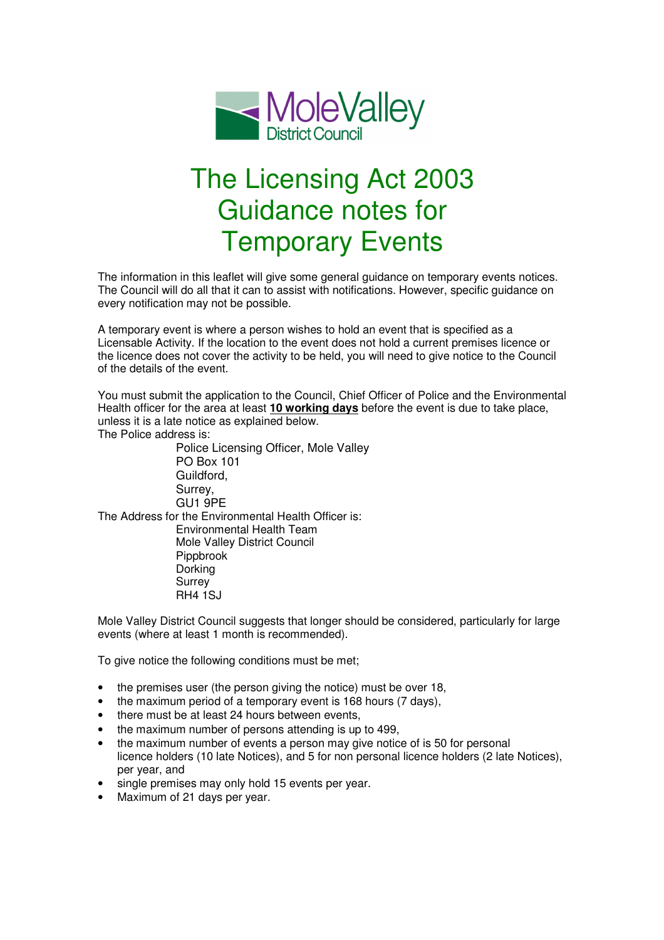

## The Licensing Act 2003 Guidance notes for Temporary Events

The information in this leaflet will give some general guidance on temporary events notices. The Council will do all that it can to assist with notifications. However, specific guidance on every notification may not be possible.

A temporary event is where a person wishes to hold an event that is specified as a Licensable Activity. If the location to the event does not hold a current premises licence or the licence does not cover the activity to be held, you will need to give notice to the Council of the details of the event.

You must submit the application to the Council, Chief Officer of Police and the Environmental Health officer for the area at least **10 working days** before the event is due to take place, unless it is a late notice as explained below.

The Police address is:

Police Licensing Officer, Mole Valley PO Box 101 Guildford, Surrey, GU1 9PE The Address for the Environmental Health Officer is: Environmental Health Team Mole Valley District Council Pippbrook Dorking Surrey RH4 1SJ

Mole Valley District Council suggests that longer should be considered, particularly for large events (where at least 1 month is recommended).

To give notice the following conditions must be met;

- the premises user (the person giving the notice) must be over 18,
- the maximum period of a temporary event is 168 hours (7 days),
- there must be at least 24 hours between events,
- the maximum number of persons attending is up to 499,
- the maximum number of events a person may give notice of is 50 for personal licence holders (10 late Notices), and 5 for non personal licence holders (2 late Notices), per year, and
- single premises may only hold 15 events per year.
- Maximum of 21 days per year.